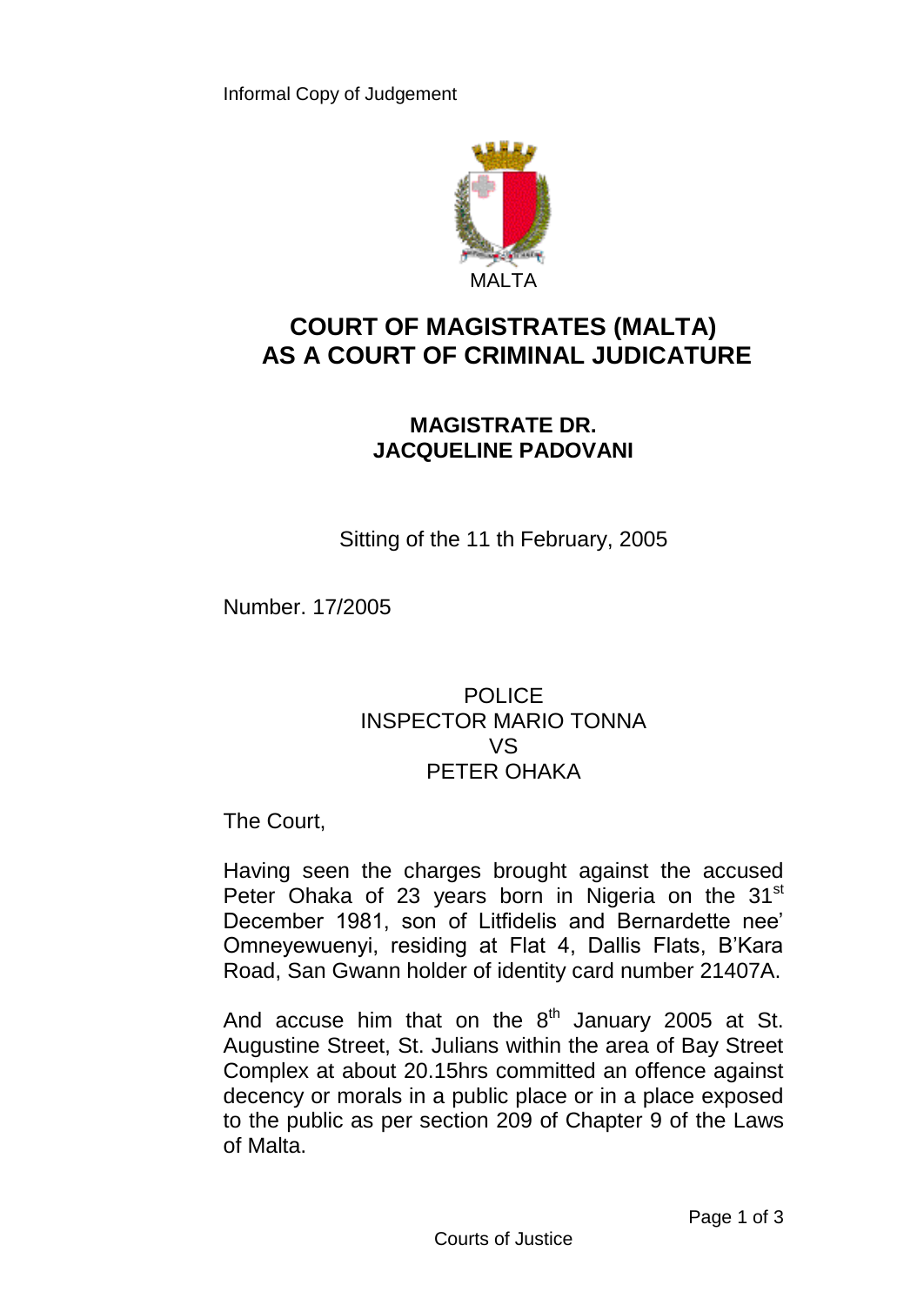

## **COURT OF MAGISTRATES (MALTA) AS A COURT OF CRIMINAL JUDICATURE**

## **MAGISTRATE DR. JACQUELINE PADOVANI**

Sitting of the 11 th February, 2005

Number. 17/2005

## POLICE INSPECTOR MARIO TONNA VS PETER OHAKA

The Court,

Having seen the charges brought against the accused Peter Ohaka of 23 years born in Nigeria on the 31<sup>st</sup> December 1981, son of Litfidelis and Bernardette nee' Omneyewuenyi, residing at Flat 4, Dallis Flats, B'Kara Road, San Gwann holder of identity card number 21407A.

And accuse him that on the  $8<sup>th</sup>$  January 2005 at St. Augustine Street, St. Julians within the area of Bay Street Complex at about 20.15hrs committed an offence against decency or morals in a public place or in a place exposed to the public as per section 209 of Chapter 9 of the Laws of Malta.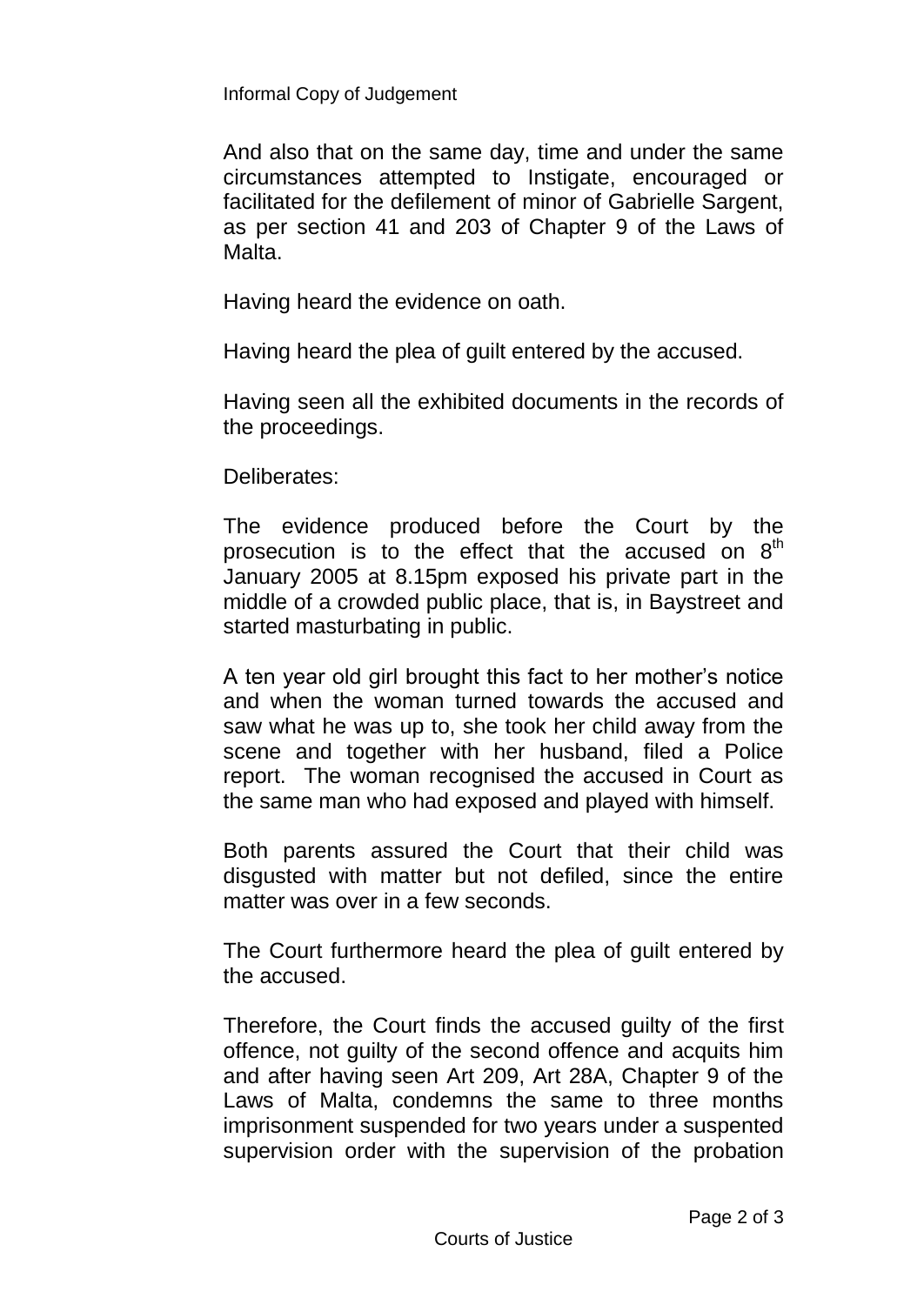Informal Copy of Judgement

And also that on the same day, time and under the same circumstances attempted to Instigate, encouraged or facilitated for the defilement of minor of Gabrielle Sargent, as per section 41 and 203 of Chapter 9 of the Laws of Malta.

Having heard the evidence on oath.

Having heard the plea of guilt entered by the accused.

Having seen all the exhibited documents in the records of the proceedings.

Deliberates:

The evidence produced before the Court by the prosecution is to the effect that the accused on  $8<sup>th</sup>$ January 2005 at 8.15pm exposed his private part in the middle of a crowded public place, that is, in Baystreet and started masturbating in public.

A ten year old girl brought this fact to her mother's notice and when the woman turned towards the accused and saw what he was up to, she took her child away from the scene and together with her husband, filed a Police report. The woman recognised the accused in Court as the same man who had exposed and played with himself.

Both parents assured the Court that their child was disgusted with matter but not defiled, since the entire matter was over in a few seconds.

The Court furthermore heard the plea of guilt entered by the accused.

Therefore, the Court finds the accused guilty of the first offence, not guilty of the second offence and acquits him and after having seen Art 209, Art 28A, Chapter 9 of the Laws of Malta, condemns the same to three months imprisonment suspended for two years under a suspented supervision order with the supervision of the probation